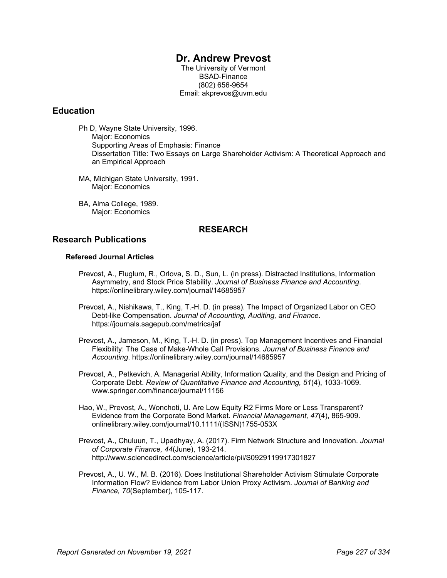# **Dr. Andrew Prevost**

The University of Vermont BSAD-Finance (802) 656-9654 Email: akprevos@uvm.edu

#### **Education**

Ph D, Wayne State University, 1996. Major: Economics Supporting Areas of Emphasis: Finance Dissertation Title: Two Essays on Large Shareholder Activism: A Theoretical Approach and an Empirical Approach

- MA, Michigan State University, 1991. Major: Economics
- BA, Alma College, 1989. Major: Economics

# **RESEARCH**

#### **Research Publications**

#### **Refereed Journal Articles**

- Prevost, A., Fluglum, R., Orlova, S. D., Sun, L. (in press). Distracted Institutions, Information Asymmetry, and Stock Price Stability. *Journal of Business Finance and Accounting*. https://onlinelibrary.wiley.com/journal/14685957
- Prevost, A., Nishikawa, T., King, T.-H. D. (in press). The Impact of Organized Labor on CEO Debt-like Compensation. *Journal of Accounting, Auditing, and Finance*. https://journals.sagepub.com/metrics/jaf
- Prevost, A., Jameson, M., King, T.-H. D. (in press). Top Management Incentives and Financial Flexibility: The Case of Make-Whole Call Provisions. *Journal of Business Finance and Accounting*. https://onlinelibrary.wiley.com/journal/14685957
- Prevost, A., Petkevich, A. Managerial Ability, Information Quality, and the Design and Pricing of Corporate Debt. *Review of Quantitative Finance and Accounting, 51*(4), 1033-1069. www.springer.com/finance/journal/11156
- Hao, W., Prevost, A., Wonchoti, U. Are Low Equity R2 Firms More or Less Transparent? Evidence from the Corporate Bond Market. *Financial Management, 47*(4), 865-909. onlinelibrary.wiley.com/journal/10.1111/(ISSN)1755-053X
- Prevost, A., Chuluun, T., Upadhyay, A. (2017). Firm Network Structure and Innovation. *Journal of Corporate Finance, 44*(June), 193-214. http://www.sciencedirect.com/science/article/pii/S0929119917301827
- Prevost, A., U. W., M. B. (2016). Does Institutional Shareholder Activism Stimulate Corporate Information Flow? Evidence from Labor Union Proxy Activism. *Journal of Banking and Finance, 70*(September), 105-117.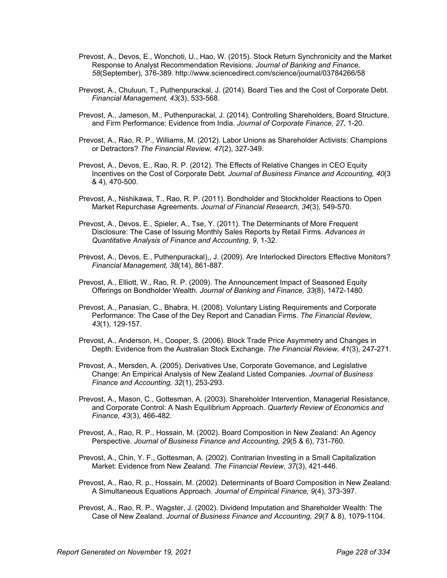- Prevost, A., Devos, E., Wonchoti, U., Hao, W. (2015). Stock Return Synchronicity and the Market Response to Analyst Recommendation Revisions. *Journal of Banking and Finance, 58*(September), 376-389. http://www.sciencedirect.com/science/journal/03784266/58
- Prevost, A., Chuluun, T., Puthenpurackal, J. (2014). Board Ties and the Cost of Corporate Debt. *Financial Management, 43*(3), 533-568.
- Prevost, A., Jameson, M., Puthenpurackal, J. (2014). Controlling Shareholders, Board Structure, and Firm Performance: Evidence from India. *Journal of Corporate Finance, 27*, 1-20.
- Prevost, A., Rao, R. P., Williams, M. (2012). Labor Unions as Shareholder Activists: Champions or Detractors? *The Financial Review, 47*(2), 327-349.
- Prevost, A., Devos, E., Rao, R. P. (2012). The Effects of Relative Changes in CEO Equity Incentives on the Cost of Corporate Debt. *Journal of Business Finance and Accounting, 40*(3 & 4), 470-500.
- Prevost, A., Nishikawa, T., Rao, R. P. (2011). Bondholder and Stockholder Reactions to Open Market Repurchase Agreements. *Journal of Financial Research, 34*(3), 549-570.
- Prevost, A., Devos, E., Spieler, A., Tse, Y. (2011). The Determinants of More Frequent Disclosure: The Case of Issuing Monthly Sales Reports by Retail Firms. *Advances in Quantitative Analysis of Finance and Accounting, 9*, 1-32.
- Prevost, A., Devos, E., Puthenpurackal),, J. (2009). Are Interlocked Directors Effective Monitors? *Financial Management, 38*(14), 861-887.
- Prevost, A., Elliott, W., Rao, R. P. (2009). The Announcement Impact of Seasoned Equity Offerings on Bondholder Wealth. *Journal of Banking and Finance, 33*(8), 1472-1480.
- Prevost, A., Panasian, C., Bhabra, H. (2008). Voluntary Listing Requirements and Corporate Performance: The Case of the Dey Report and Canadian Firms. *The Financial Review, 43*(1), 129-157.
- Prevost, A., Anderson, H., Cooper, S. (2006). Block Trade Price Asymmetry and Changes in Depth: Evidence from the Australian Stock Exchange. *The Financial Review, 41*(3), 247-271.
- Prevost, A., Mersden, A. (2005). Derivatives Use, Corporate Governance, and Legislative Change: An Empirical Analysis of New Zealand Listed Companies. *Journal of Business Finance and Accounting, 32*(1), 253-293.
- Prevost, A., Mason, C., Gottesman, A. (2003). Shareholder Intervention, Managerial Resistance, and Corporate Control: A Nash Equilibrium Approach. *Quarterly Review of Economics and Finance, 43*(3), 466-482.
- Prevost, A., Rao, R. P., Hossain, M. (2002). Board Composition in New Zealand: An Agency Perspective. *Journal of Business Finance and Accounting, 29*(5 & 6), 731-760.
- Prevost, A., Chin, Y. F., Gottesman, A. (2002). Contrarian Investing in a Small Capitalization Market: Evidence from New Zealand. *The Financial Review, 37*(3), 421-446.
- Prevost, A., Rao, R. p., Hossain, M. (2002). Determinants of Board Composition in New Zealand: A Simultaneous Equations Approach. *Journal of Empirical Finance, 9*(4), 373-397.
- Prevost, A., Rao, R. P., Wagster, J. (2002). Dividend Imputation and Shareholder Wealth: The Case of New Zealand. *Journal of Business Finance and Accounting, 29*(7 & 8), 1079-1104.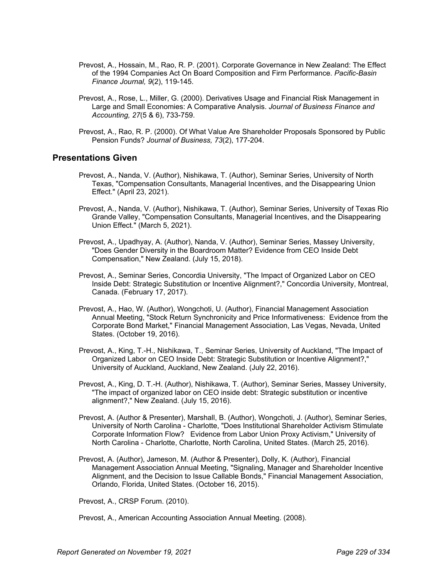- Prevost, A., Hossain, M., Rao, R. P. (2001). Corporate Governance in New Zealand: The Effect of the 1994 Companies Act On Board Composition and Firm Performance. *Pacific-Basin Finance Journal, 9*(2), 119-145.
- Prevost, A., Rose, L., Miller, G. (2000). Derivatives Usage and Financial Risk Management in Large and Small Economies: A Comparative Analysis. *Journal of Business Finance and Accounting, 27*(5 & 6), 733-759.
- Prevost, A., Rao, R. P. (2000). Of What Value Are Shareholder Proposals Sponsored by Public Pension Funds? *Journal of Business, 73*(2), 177-204.

#### **Presentations Given**

- Prevost, A., Nanda, V. (Author), Nishikawa, T. (Author), Seminar Series, University of North Texas, "Compensation Consultants, Managerial Incentives, and the Disappearing Union Effect." (April 23, 2021).
- Prevost, A., Nanda, V. (Author), Nishikawa, T. (Author), Seminar Series, University of Texas Rio Grande Valley, "Compensation Consultants, Managerial Incentives, and the Disappearing Union Effect." (March 5, 2021).
- Prevost, A., Upadhyay, A. (Author), Nanda, V. (Author), Seminar Series, Massey University, "Does Gender Diversity in the Boardroom Matter? Evidence from CEO Inside Debt Compensation," New Zealand. (July 15, 2018).
- Prevost, A., Seminar Series, Concordia University, "The Impact of Organized Labor on CEO Inside Debt: Strategic Substitution or Incentive Alignment?," Concordia University, Montreal, Canada. (February 17, 2017).
- Prevost, A., Hao, W. (Author), Wongchoti, U. (Author), Financial Management Association Annual Meeting, "Stock Return Synchronicity and Price Informativeness: Evidence from the Corporate Bond Market," Financial Management Association, Las Vegas, Nevada, United States. (October 19, 2016).
- Prevost, A., King, T.-H., Nishikawa, T., Seminar Series, University of Auckland, "The Impact of Organized Labor on CEO Inside Debt: Strategic Substitution or Incentive Alignment?," University of Auckland, Auckland, New Zealand. (July 22, 2016).
- Prevost, A., King, D. T.-H. (Author), Nishikawa, T. (Author), Seminar Series, Massey University, "The impact of organized labor on CEO inside debt: Strategic substitution or incentive alignment?," New Zealand. (July 15, 2016).
- Prevost, A. (Author & Presenter), Marshall, B. (Author), Wongchoti, J. (Author), Seminar Series, University of North Carolina - Charlotte, "Does Institutional Shareholder Activism Stimulate Corporate Information Flow? Evidence from Labor Union Proxy Activism," University of North Carolina - Charlotte, Charlotte, North Carolina, United States. (March 25, 2016).
- Prevost, A. (Author), Jameson, M. (Author & Presenter), Dolly, K. (Author), Financial Management Association Annual Meeting, "Signaling, Manager and Shareholder Incentive Alignment, and the Decision to Issue Callable Bonds," Financial Management Association, Orlando, Florida, United States. (October 16, 2015).

Prevost, A., CRSP Forum. (2010).

Prevost, A., American Accounting Association Annual Meeting. (2008).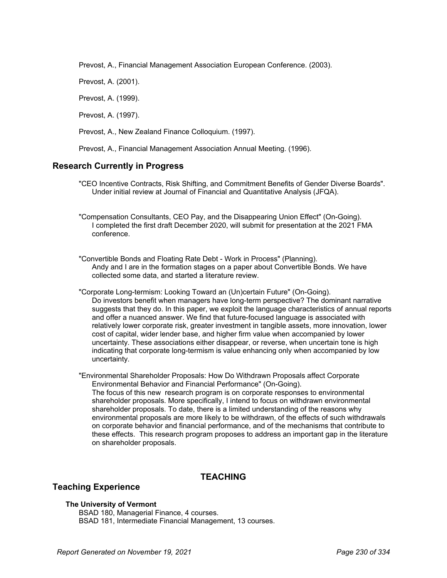Prevost, A., Financial Management Association European Conference. (2003).

Prevost, A. (2001).

Prevost, A. (1999).

Prevost, A. (1997).

Prevost, A., New Zealand Finance Colloquium. (1997).

Prevost, A., Financial Management Association Annual Meeting. (1996).

# **Research Currently in Progress**

"CEO Incentive Contracts, Risk Shifting, and Commitment Benefits of Gender Diverse Boards". Under initial review at Journal of Financial and Quantitative Analysis (JFQA).

"Compensation Consultants, CEO Pay, and the Disappearing Union Effect" (On-Going). I completed the first draft December 2020, will submit for presentation at the 2021 FMA conference.

"Convertible Bonds and Floating Rate Debt - Work in Process" (Planning). Andy and I are in the formation stages on a paper about Convertible Bonds. We have collected some data, and started a literature review.

"Corporate Long-termism: Looking Toward an (Un)certain Future" (On-Going). Do investors benefit when managers have long-term perspective? The dominant narrative suggests that they do. In this paper, we exploit the language characteristics of annual reports and offer a nuanced answer. We find that future-focused language is associated with relatively lower corporate risk, greater investment in tangible assets, more innovation, lower cost of capital, wider lender base, and higher firm value when accompanied by lower uncertainty. These associations either disappear, or reverse, when uncertain tone is high indicating that corporate long-termism is value enhancing only when accompanied by low uncertainty.

"Environmental Shareholder Proposals: How Do Withdrawn Proposals affect Corporate Environmental Behavior and Financial Performance" (On-Going). The focus of this new research program is on corporate responses to environmental shareholder proposals. More specifically, I intend to focus on withdrawn environmental shareholder proposals. To date, there is a limited understanding of the reasons why environmental proposals are more likely to be withdrawn, of the effects of such withdrawals on corporate behavior and financial performance, and of the mechanisms that contribute to these effects. This research program proposes to address an important gap in the literature on shareholder proposals.

# **TEACHING**

# **Teaching Experience**

#### **The University of Vermont**

BSAD 180, Managerial Finance, 4 courses. BSAD 181, Intermediate Financial Management, 13 courses.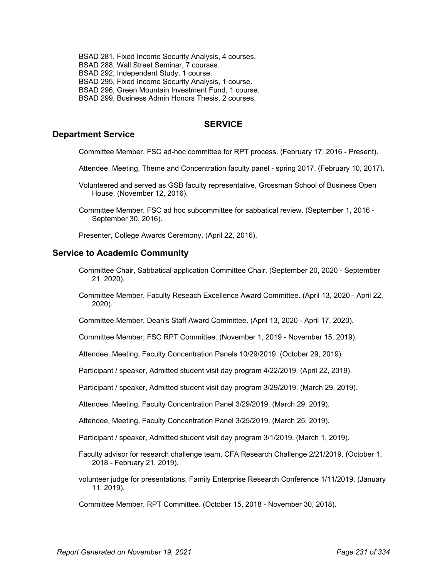BSAD 281, Fixed Income Security Analysis, 4 courses. BSAD 288, Wall Street Seminar, 7 courses. BSAD 292, Independent Study, 1 course. BSAD 295, Fixed Income Security Analysis, 1 course. BSAD 296, Green Mountain Investment Fund, 1 course. BSAD 299, Business Admin Honors Thesis, 2 courses.

# **SERVICE**

#### **Department Service**

Committee Member, FSC ad-hoc committee for RPT process. (February 17, 2016 - Present).

- Attendee, Meeting, Theme and Concentration faculty panel spring 2017. (February 10, 2017).
- Volunteered and served as GSB faculty representative, Grossman School of Business Open House. (November 12, 2016).

Committee Member, FSC ad hoc subcommittee for sabbatical review. (September 1, 2016 - September 30, 2016).

Presenter, College Awards Ceremony. (April 22, 2016).

#### **Service to Academic Community**

- Committee Chair, Sabbatical application Committee Chair. (September 20, 2020 September 21, 2020).
- Committee Member, Faculty Reseach Excellence Award Committee. (April 13, 2020 April 22, 2020).

Committee Member, Dean's Staff Award Committee. (April 13, 2020 - April 17, 2020).

Committee Member, FSC RPT Committee. (November 1, 2019 - November 15, 2019).

Attendee, Meeting, Faculty Concentration Panels 10/29/2019. (October 29, 2019).

Participant / speaker, Admitted student visit day program 4/22/2019. (April 22, 2019).

Participant / speaker, Admitted student visit day program 3/29/2019. (March 29, 2019).

Attendee, Meeting, Faculty Concentration Panel 3/29/2019. (March 29, 2019).

Attendee, Meeting, Faculty Concentration Panel 3/25/2019. (March 25, 2019).

Participant / speaker, Admitted student visit day program 3/1/2019. (March 1, 2019).

- Faculty advisor for research challenge team, CFA Research Challenge 2/21/2019. (October 1, 2018 - February 21, 2019).
- volunteer judge for presentations, Family Enterprise Research Conference 1/11/2019. (January 11, 2019).

Committee Member, RPT Committee. (October 15, 2018 - November 30, 2018).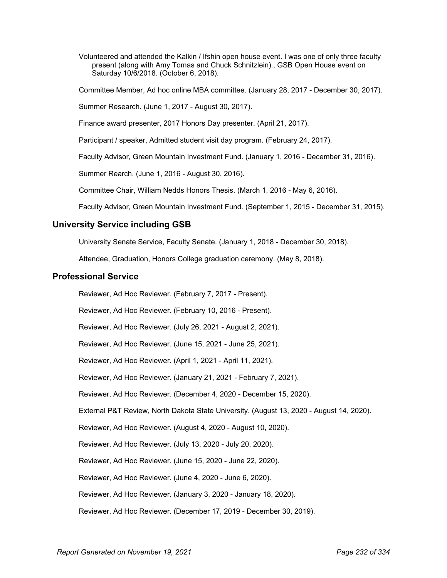Volunteered and attended the Kalkin / Ifshin open house event. I was one of only three faculty present (along with Amy Tomas and Chuck Schnitzlein)., GSB Open House event on Saturday 10/6/2018. (October 6, 2018).

Committee Member, Ad hoc online MBA committee. (January 28, 2017 - December 30, 2017).

Summer Research. (June 1, 2017 - August 30, 2017).

Finance award presenter, 2017 Honors Day presenter. (April 21, 2017).

Participant / speaker, Admitted student visit day program. (February 24, 2017).

Faculty Advisor, Green Mountain Investment Fund. (January 1, 2016 - December 31, 2016).

Summer Rearch. (June 1, 2016 - August 30, 2016).

Committee Chair, William Nedds Honors Thesis. (March 1, 2016 - May 6, 2016).

Faculty Advisor, Green Mountain Investment Fund. (September 1, 2015 - December 31, 2015).

# **University Service including GSB**

University Senate Service, Faculty Senate. (January 1, 2018 - December 30, 2018).

Attendee, Graduation, Honors College graduation ceremony. (May 8, 2018).

#### **Professional Service**

Reviewer, Ad Hoc Reviewer. (February 7, 2017 - Present). Reviewer, Ad Hoc Reviewer. (February 10, 2016 - Present). Reviewer, Ad Hoc Reviewer. (July 26, 2021 - August 2, 2021). Reviewer, Ad Hoc Reviewer. (June 15, 2021 - June 25, 2021). Reviewer, Ad Hoc Reviewer. (April 1, 2021 - April 11, 2021). Reviewer, Ad Hoc Reviewer. (January 21, 2021 - February 7, 2021). Reviewer, Ad Hoc Reviewer. (December 4, 2020 - December 15, 2020). External P&T Review, North Dakota State University. (August 13, 2020 - August 14, 2020). Reviewer, Ad Hoc Reviewer. (August 4, 2020 - August 10, 2020). Reviewer, Ad Hoc Reviewer. (July 13, 2020 - July 20, 2020). Reviewer, Ad Hoc Reviewer. (June 15, 2020 - June 22, 2020). Reviewer, Ad Hoc Reviewer. (June 4, 2020 - June 6, 2020). Reviewer, Ad Hoc Reviewer. (January 3, 2020 - January 18, 2020). Reviewer, Ad Hoc Reviewer. (December 17, 2019 - December 30, 2019).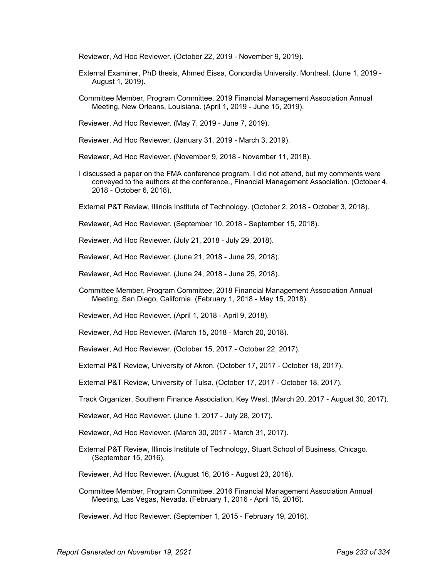Reviewer, Ad Hoc Reviewer. (October 22, 2019 - November 9, 2019).

- External Examiner, PhD thesis, Ahmed Eissa, Concordia University, Montreal. (June 1, 2019 August 1, 2019).
- Committee Member, Program Committee, 2019 Financial Management Association Annual Meeting, New Orleans, Louisiana. (April 1, 2019 - June 15, 2019).
- Reviewer, Ad Hoc Reviewer. (May 7, 2019 June 7, 2019).
- Reviewer, Ad Hoc Reviewer. (January 31, 2019 March 3, 2019).
- Reviewer, Ad Hoc Reviewer. (November 9, 2018 November 11, 2018).
- I discussed a paper on the FMA conference program. I did not attend, but my comments were conveyed to the authors at the conference., Financial Management Association. (October 4, 2018 - October 6, 2018).
- External P&T Review, Illinois Institute of Technology. (October 2, 2018 October 3, 2018).
- Reviewer, Ad Hoc Reviewer. (September 10, 2018 September 15, 2018).
- Reviewer, Ad Hoc Reviewer. (July 21, 2018 July 29, 2018).
- Reviewer, Ad Hoc Reviewer. (June 21, 2018 June 29, 2018).
- Reviewer, Ad Hoc Reviewer. (June 24, 2018 June 25, 2018).
- Committee Member, Program Committee, 2018 Financial Management Association Annual Meeting, San Diego, California. (February 1, 2018 - May 15, 2018).
- Reviewer, Ad Hoc Reviewer. (April 1, 2018 April 9, 2018).
- Reviewer, Ad Hoc Reviewer. (March 15, 2018 March 20, 2018).
- Reviewer, Ad Hoc Reviewer. (October 15, 2017 October 22, 2017).
- External P&T Review, University of Akron. (October 17, 2017 October 18, 2017).
- External P&T Review, University of Tulsa. (October 17, 2017 October 18, 2017).
- Track Organizer, Southern Finance Association, Key West. (March 20, 2017 August 30, 2017).
- Reviewer, Ad Hoc Reviewer. (June 1, 2017 July 28, 2017).
- Reviewer, Ad Hoc Reviewer. (March 30, 2017 March 31, 2017).
- External P&T Review, Illinois Institute of Technology, Stuart School of Business, Chicago. (September 15, 2016).
- Reviewer, Ad Hoc Reviewer. (August 16, 2016 August 23, 2016).
- Committee Member, Program Committee, 2016 Financial Management Association Annual Meeting, Las Vegas, Nevada. (February 1, 2016 - April 15, 2016).

Reviewer, Ad Hoc Reviewer. (September 1, 2015 - February 19, 2016).